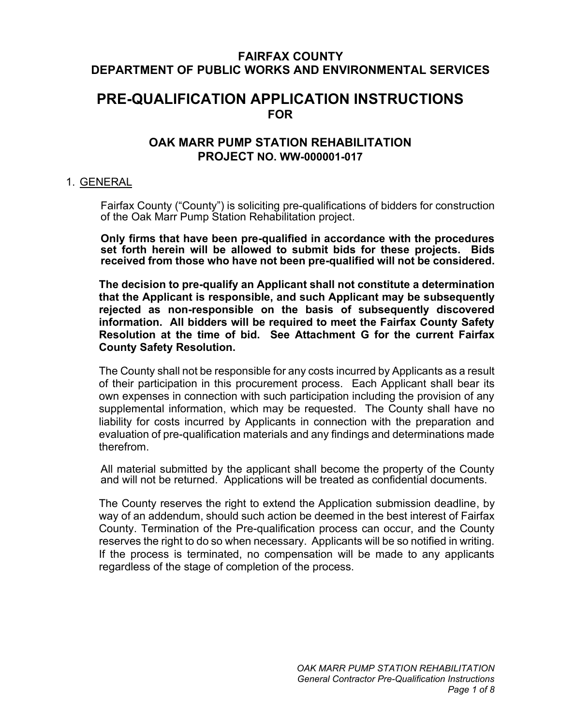# **FAIRFAX COUNTY DEPARTMENT OF PUBLIC WORKS AND ENVIRONMENTAL SERVICES**

# **PRE-QUALIFICATION APPLICATION INSTRUCTIONS FOR**

# **OAK MARR PUMP STATION REHABILITATION PROJECT NO. WW-000001-017**

#### 1. GENERAL

Fairfax County ("County") is soliciting pre-qualifications of bidders for construction of the Oak Marr Pump Station Rehabilitation project.

**Only firms that have been pre-qualified in accordance with the procedures set forth herein will be allowed to submit bids for these projects. Bids received from those who have not been pre-qualified will not be considered.** 

**The decision to pre-qualify an Applicant shall not constitute a determination that the Applicant is responsible, and such Applicant may be subsequently rejected as non-responsible on the basis of subsequently discovered information. All bidders will be required to meet the Fairfax County Safety Resolution at the time of bid. See Attachment G for the current Fairfax County Safety Resolution.**

The County shall not be responsible for any costs incurred by Applicants as a result of their participation in this procurement process. Each Applicant shall bear its own expenses in connection with such participation including the provision of any supplemental information, which may be requested. The County shall have no liability for costs incurred by Applicants in connection with the preparation and evaluation of pre-qualification materials and any findings and determinations made therefrom.

All material submitted by the applicant shall become the property of the County and will not be returned. Applications will be treated as confidential documents.

The County reserves the right to extend the Application submission deadline, by way of an addendum, should such action be deemed in the best interest of Fairfax County. Termination of the Pre-qualification process can occur, and the County reserves the right to do so when necessary. Applicants will be so notified in writing. If the process is terminated, no compensation will be made to any applicants regardless of the stage of completion of the process.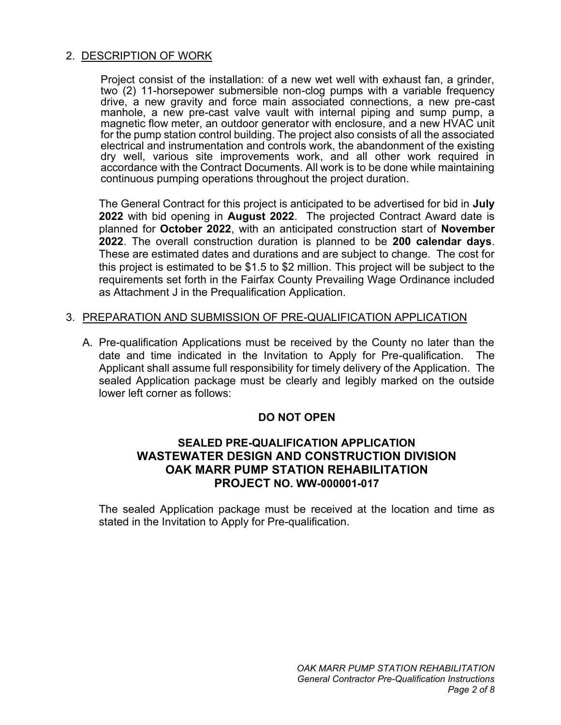## 2. DESCRIPTION OF WORK

Project consist of the installation: of a new wet well with exhaust fan, a grinder, two (2) 11-horsepower submersible non-clog pumps with a variable frequency drive, a new gravity and force main associated connections, a new pre-cast manhole, a new pre-cast valve vault with internal piping and sump pump, a magnetic flow meter, an outdoor generator with enclosure, and a new HVAC unit for the pump station control building. The project also consists of all the associated electrical and instrumentation and controls work, the abandonment of the existing dry well, various site improvements work, and all other work required in accordance with the Contract Documents. All work is to be done while maintaining continuous pumping operations throughout the project duration.

The General Contract for this project is anticipated to be advertised for bid in **July 2022** with bid opening in **August 2022**. The projected Contract Award date is planned for **October 2022**, with an anticipated construction start of **November 2022**. The overall construction duration is planned to be **200 calendar days**. These are estimated dates and durations and are subject to change. The cost for this project is estimated to be \$1.5 to \$2 million. This project will be subject to the requirements set forth in the Fairfax County Prevailing Wage Ordinance included as Attachment J in the Prequalification Application.

#### 3. PREPARATION AND SUBMISSION OF PRE-QUALIFICATION APPLICATION

A. Pre-qualification Applications must be received by the County no later than the date and time indicated in the Invitation to Apply for Pre-qualification. The Applicant shall assume full responsibility for timely delivery of the Application. The sealed Application package must be clearly and legibly marked on the outside lower left corner as follows:

#### **DO NOT OPEN**

## **SEALED PRE-QUALIFICATION APPLICATION WASTEWATER DESIGN AND CONSTRUCTION DIVISION OAK MARR PUMP STATION REHABILITATION PROJECT NO. WW-000001-017**

The sealed Application package must be received at the location and time as stated in the Invitation to Apply for Pre-qualification.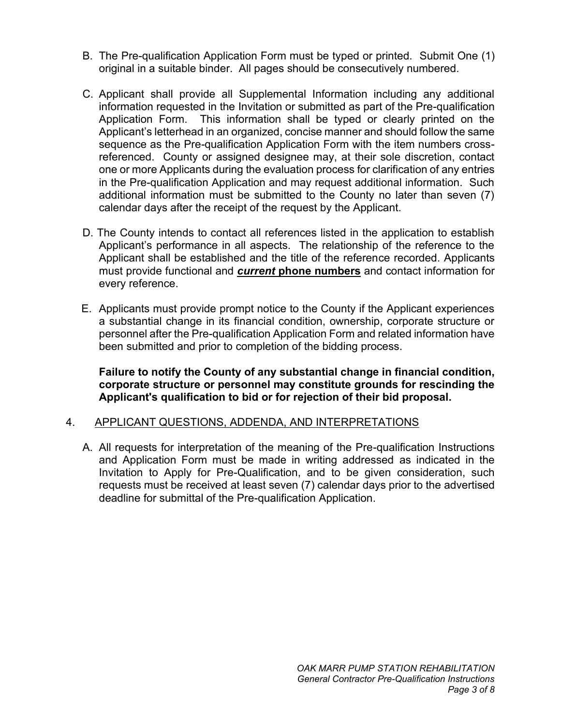- B. The Pre-qualification Application Form must be typed or printed. Submit One (1) original in a suitable binder. All pages should be consecutively numbered.
- C. Applicant shall provide all Supplemental Information including any additional information requested in the Invitation or submitted as part of the Pre-qualification Application Form. This information shall be typed or clearly printed on the Applicant's letterhead in an organized, concise manner and should follow the same sequence as the Pre-qualification Application Form with the item numbers crossreferenced. County or assigned designee may, at their sole discretion, contact one or more Applicants during the evaluation process for clarification of any entries in the Pre-qualification Application and may request additional information. Such additional information must be submitted to the County no later than seven (7) calendar days after the receipt of the request by the Applicant.
- D. The County intends to contact all references listed in the application to establish Applicant's performance in all aspects. The relationship of the reference to the Applicant shall be established and the title of the reference recorded. Applicants must provide functional and *current* **phone numbers** and contact information for every reference.
- E. Applicants must provide prompt notice to the County if the Applicant experiences a substantial change in its financial condition, ownership, corporate structure or personnel after the Pre-qualification Application Form and related information have been submitted and prior to completion of the bidding process.

**Failure to notify the County of any substantial change in financial condition, corporate structure or personnel may constitute grounds for rescinding the Applicant's qualification to bid or for rejection of their bid proposal.**

#### 4. APPLICANT QUESTIONS, ADDENDA, AND INTERPRETATIONS

A. All requests for interpretation of the meaning of the Pre-qualification Instructions and Application Form must be made in writing addressed as indicated in the Invitation to Apply for Pre-Qualification, and to be given consideration, such requests must be received at least seven (7) calendar days prior to the advertised deadline for submittal of the Pre-qualification Application.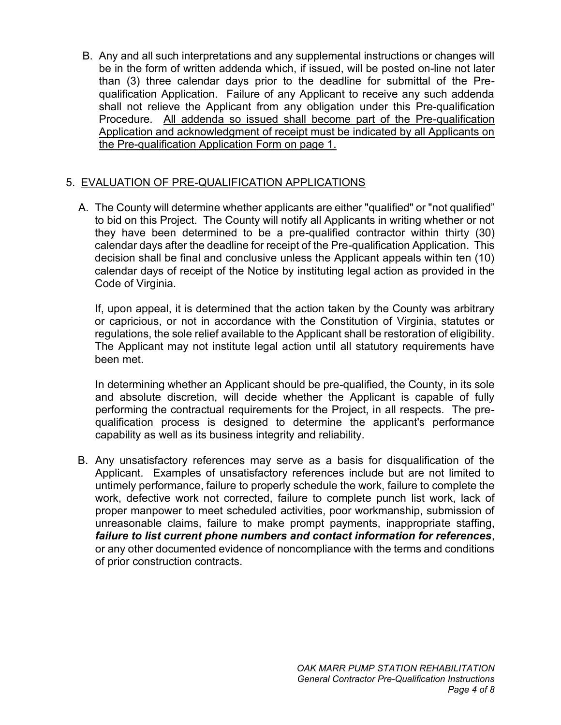B. Any and all such interpretations and any supplemental instructions or changes will be in the form of written addenda which, if issued, will be posted on-line not later than (3) three calendar days prior to the deadline for submittal of the Prequalification Application. Failure of any Applicant to receive any such addenda shall not relieve the Applicant from any obligation under this Pre-qualification Procedure. All addenda so issued shall become part of the Pre-qualification Application and acknowledgment of receipt must be indicated by all Applicants on the Pre-qualification Application Form on page 1.

## 5. EVALUATION OF PRE-QUALIFICATION APPLICATIONS

A. The County will determine whether applicants are either "qualified" or "not qualified" to bid on this Project. The County will notify all Applicants in writing whether or not they have been determined to be a pre-qualified contractor within thirty (30) calendar days after the deadline for receipt of the Pre-qualification Application. This decision shall be final and conclusive unless the Applicant appeals within ten (10) calendar days of receipt of the Notice by instituting legal action as provided in the Code of Virginia.

If, upon appeal, it is determined that the action taken by the County was arbitrary or capricious, or not in accordance with the Constitution of Virginia, statutes or regulations, the sole relief available to the Applicant shall be restoration of eligibility. The Applicant may not institute legal action until all statutory requirements have been met.

In determining whether an Applicant should be pre-qualified, the County, in its sole and absolute discretion, will decide whether the Applicant is capable of fully performing the contractual requirements for the Project, in all respects. The prequalification process is designed to determine the applicant's performance capability as well as its business integrity and reliability.

B. Any unsatisfactory references may serve as a basis for disqualification of the Applicant. Examples of unsatisfactory references include but are not limited to untimely performance, failure to properly schedule the work, failure to complete the work, defective work not corrected, failure to complete punch list work, lack of proper manpower to meet scheduled activities, poor workmanship, submission of unreasonable claims, failure to make prompt payments, inappropriate staffing, *failure to list current phone numbers and contact information for references*, or any other documented evidence of noncompliance with the terms and conditions of prior construction contracts.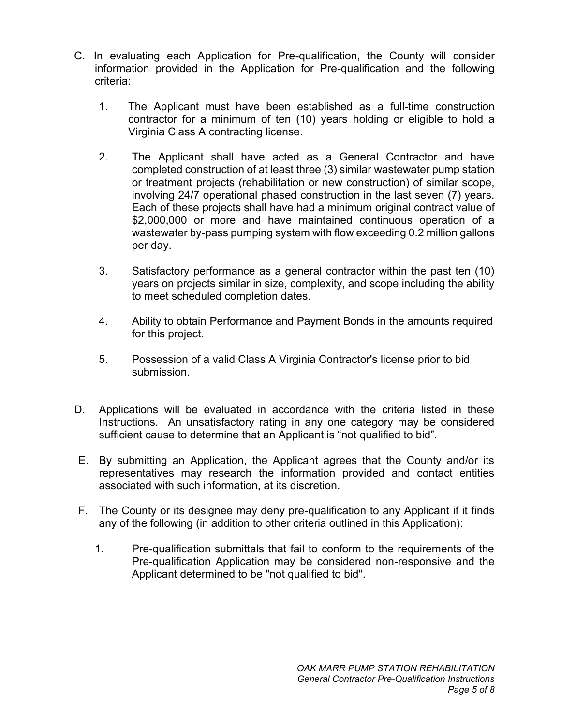- C. In evaluating each Application for Pre-qualification, the County will consider information provided in the Application for Pre-qualification and the following criteria:
	- 1. The Applicant must have been established as a full-time construction contractor for a minimum of ten (10) years holding or eligible to hold a Virginia Class A contracting license.
	- 2. The Applicant shall have acted as a General Contractor and have completed construction of at least three (3) similar wastewater pump station or treatment projects (rehabilitation or new construction) of similar scope, involving 24/7 operational phased construction in the last seven (7) years. Each of these projects shall have had a minimum original contract value of \$2,000,000 or more and have maintained continuous operation of a wastewater by-pass pumping system with flow exceeding 0.2 million gallons per day.
	- 3. Satisfactory performance as a general contractor within the past ten (10) years on projects similar in size, complexity, and scope including the ability to meet scheduled completion dates.
	- 4. Ability to obtain Performance and Payment Bonds in the amounts required for this project.
	- 5. Possession of a valid Class A Virginia Contractor's license prior to bid submission.
- D. Applications will be evaluated in accordance with the criteria listed in these Instructions. An unsatisfactory rating in any one category may be considered sufficient cause to determine that an Applicant is "not qualified to bid".
- E. By submitting an Application, the Applicant agrees that the County and/or its representatives may research the information provided and contact entities associated with such information, at its discretion.
- F. The County or its designee may deny pre-qualification to any Applicant if it finds any of the following (in addition to other criteria outlined in this Application):
	- 1. Pre-qualification submittals that fail to conform to the requirements of the Pre-qualification Application may be considered non-responsive and the Applicant determined to be "not qualified to bid".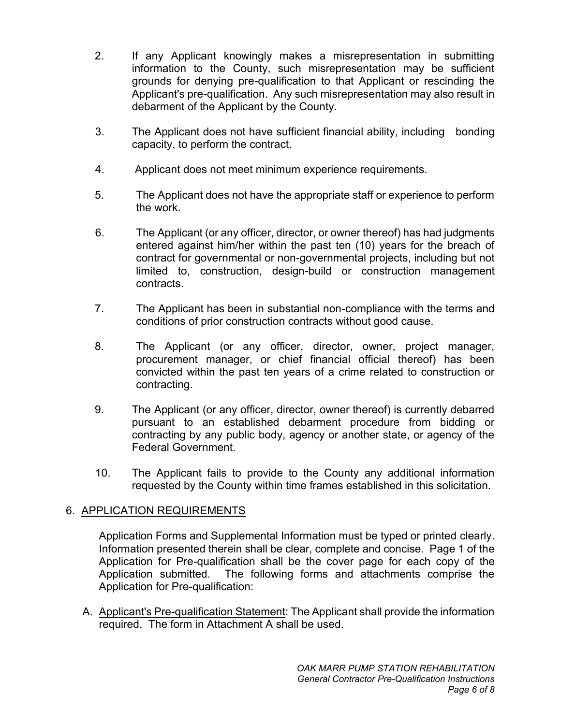- 2. If any Applicant knowingly makes a misrepresentation in submitting information to the County, such misrepresentation may be sufficient grounds for denying pre-qualification to that Applicant or rescinding the Applicant's pre-qualification. Any such misrepresentation may also result in debarment of the Applicant by the County.
- 3. The Applicant does not have sufficient financial ability, including bonding capacity, to perform the contract.
- 4. Applicant does not meet minimum experience requirements.
- 5. The Applicant does not have the appropriate staff or experience to perform the work.
- 6. The Applicant (or any officer, director, or owner thereof) has had judgments entered against him/her within the past ten (10) years for the breach of contract for governmental or non-governmental projects, including but not limited to, construction, design-build or construction management contracts.
- 7. The Applicant has been in substantial non-compliance with the terms and conditions of prior construction contracts without good cause.
- 8. The Applicant (or any officer, director, owner, project manager, procurement manager, or chief financial official thereof) has been convicted within the past ten years of a crime related to construction or contracting.
- 9. The Applicant (or any officer, director, owner thereof) is currently debarred pursuant to an established debarment procedure from bidding or contracting by any public body, agency or another state, or agency of the Federal Government.
- 10. The Applicant fails to provide to the County any additional information requested by the County within time frames established in this solicitation.

# 6. APPLICATION REQUIREMENTS

Application Forms and Supplemental Information must be typed or printed clearly. Information presented therein shall be clear, complete and concise. Page 1 of the Application for Pre-qualification shall be the cover page for each copy of the Application submitted. The following forms and attachments comprise the Application for Pre-qualification:

A. Applicant's Pre-qualification Statement: The Applicant shall provide the information required. The form in Attachment A shall be used.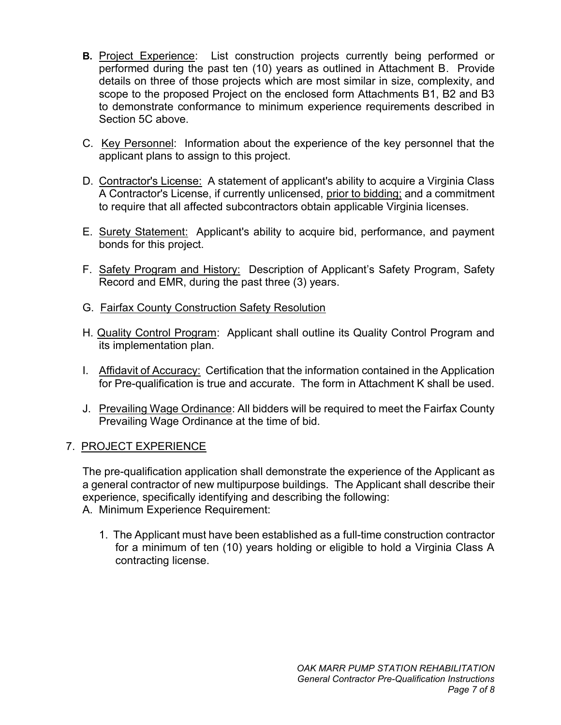- **B.** Project Experience: List construction projects currently being performed or performed during the past ten (10) years as outlined in Attachment B. Provide details on three of those projects which are most similar in size, complexity, and scope to the proposed Project on the enclosed form Attachments B1, B2 and B3 to demonstrate conformance to minimum experience requirements described in Section 5C above.
- C. Key Personnel: Information about the experience of the key personnel that the applicant plans to assign to this project.
- D. Contractor's License: A statement of applicant's ability to acquire a Virginia Class A Contractor's License, if currently unlicensed, prior to bidding; and a commitment to require that all affected subcontractors obtain applicable Virginia licenses.
- E. Surety Statement: Applicant's ability to acquire bid, performance, and payment bonds for this project.
- F. Safety Program and History: Description of Applicant's Safety Program, Safety Record and EMR, during the past three (3) years.
- G. Fairfax County Construction Safety Resolution
- H. Quality Control Program: Applicant shall outline its Quality Control Program and its implementation plan.
- I. Affidavit of Accuracy: Certification that the information contained in the Application for Pre-qualification is true and accurate. The form in Attachment K shall be used.
- J. Prevailing Wage Ordinance: All bidders will be required to meet the Fairfax County Prevailing Wage Ordinance at the time of bid.

#### 7. PROJECT EXPERIENCE

The pre-qualification application shall demonstrate the experience of the Applicant as a general contractor of new multipurpose buildings. The Applicant shall describe their experience, specifically identifying and describing the following: A. Minimum Experience Requirement:

1. The Applicant must have been established as a full-time construction contractor for a minimum of ten (10) years holding or eligible to hold a Virginia Class A contracting license.